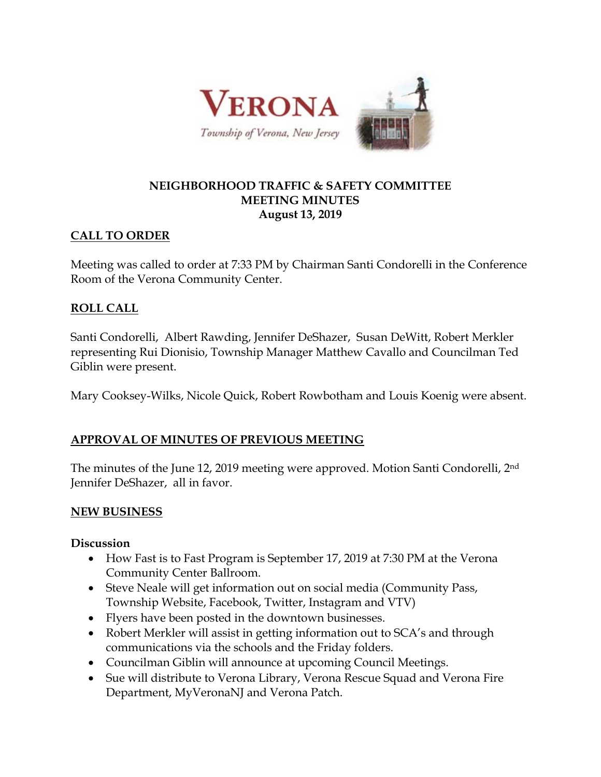

#### **NEIGHBORHOOD TRAFFIC & SAFETY COMMITTEE MEETING MINUTES August 13, 2019**

### **CALL TO ORDER**

Meeting was called to order at 7:33 PM by Chairman Santi Condorelli in the Conference Room of the Verona Community Center.

## **ROLL CALL**

Santi Condorelli, Albert Rawding, Jennifer DeShazer, Susan DeWitt, Robert Merkler representing Rui Dionisio, Township Manager Matthew Cavallo and Councilman Ted Giblin were present.

Mary Cooksey-Wilks, Nicole Quick, Robert Rowbotham and Louis Koenig were absent.

# **APPROVAL OF MINUTES OF PREVIOUS MEETING**

The minutes of the June 12, 2019 meeting were approved. Motion Santi Condorelli, 2nd Jennifer DeShazer, all in favor.

### **NEW BUSINESS**

#### **Discussion**

- How Fast is to Fast Program is September 17, 2019 at 7:30 PM at the Verona Community Center Ballroom.
- Steve Neale will get information out on social media (Community Pass, Township Website, Facebook, Twitter, Instagram and VTV)
- Flyers have been posted in the downtown businesses.
- Robert Merkler will assist in getting information out to SCA's and through communications via the schools and the Friday folders.
- Councilman Giblin will announce at upcoming Council Meetings.
- Sue will distribute to Verona Library, Verona Rescue Squad and Verona Fire Department, MyVeronaNJ and Verona Patch.